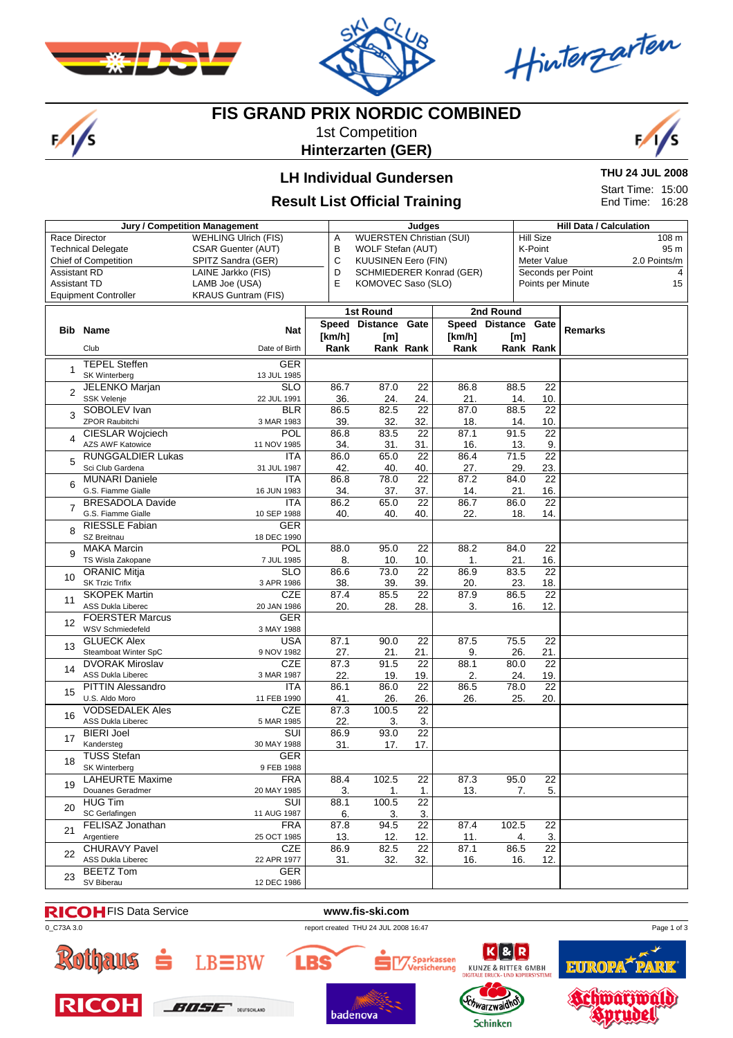

 $\frac{1}{s}$ 



Hinterzarten

# **FIS GRAND PRIX NORDIC COMBINED**

1st Competition **Hinterzarten (GER)**



### **LH Individual Gundersen**

### **Result List Official Training**

**THU 24 JUL 2008**

Start Time: 15:00 End Time: 16:28

|                                                   | Jury / Competition Management                      |                             | Judges      |                                                           |                        |             |                |                           | <b>Hill Data / Calculation</b> |                   |              |  |
|---------------------------------------------------|----------------------------------------------------|-----------------------------|-------------|-----------------------------------------------------------|------------------------|-------------|----------------|---------------------------|--------------------------------|-------------------|--------------|--|
| Race Director                                     |                                                    | <b>WEHLING Ulrich (FIS)</b> | Α           | <b>WUERSTEN Christian (SUI)</b>                           |                        |             |                | <b>Hill Size</b><br>108 m |                                |                   |              |  |
|                                                   | <b>Technical Delegate</b>                          | <b>CSAR Guenter (AUT)</b>   | В           | WOLF Stefan (AUT)<br>K-Point                              |                        |             |                |                           |                                |                   | 95 m         |  |
| <b>Chief of Competition</b><br>SPITZ Sandra (GER) |                                                    |                             |             | $\mathbf C$<br><b>KUUSINEN Eero (FIN)</b><br>Meter Value  |                        |             |                |                           |                                |                   | 2.0 Points/m |  |
| <b>Assistant RD</b><br>LAINE Jarkko (FIS)         |                                                    |                             |             | Seconds per Point<br>D<br><b>SCHMIEDERER Konrad (GER)</b> |                        |             |                |                           |                                |                   | 4            |  |
| <b>Assistant TD</b>                               |                                                    | LAMB Joe (USA)              | E           | KOMOVEC Saso (SLO)                                        |                        |             |                |                           |                                | Points per Minute | 15           |  |
|                                                   | <b>Equipment Controller</b>                        | <b>KRAUS Guntram (FIS)</b>  |             |                                                           |                        |             |                |                           |                                |                   |              |  |
|                                                   |                                                    |                             |             | 1st Round                                                 |                        |             | 2nd Round      |                           |                                |                   |              |  |
|                                                   |                                                    |                             |             | Speed Distance                                            | Gate                   |             | Speed Distance |                           | Gate                           |                   |              |  |
| Bib                                               | Name                                               | Nat                         | [km/h]      | [m]                                                       |                        | [km/h]      |                |                           |                                | <b>Remarks</b>    |              |  |
|                                                   | Club                                               | Date of Birth               | Rank        |                                                           | Rank Rank              | Rank        |                | [m]<br>Rank Rank          |                                |                   |              |  |
|                                                   |                                                    |                             |             |                                                           |                        |             |                |                           |                                |                   |              |  |
| 1                                                 | <b>TEPEL Steffen</b>                               | <b>GER</b>                  |             |                                                           |                        |             |                |                           |                                |                   |              |  |
|                                                   | SK Winterberg                                      | 13 JUL 1985                 |             |                                                           |                        |             |                |                           |                                |                   |              |  |
| $\overline{2}$                                    | <b>JELENKO Marjan</b>                              | <b>SLO</b>                  | 86.7        | 87.0                                                      | $\overline{22}$        | 86.8        | 88.5           |                           | $\overline{22}$                |                   |              |  |
|                                                   | SSK Velenje                                        | 22 JUL 1991                 | 36.         | 24.                                                       | 24.                    | 21.         |                | 14.                       | 10.                            |                   |              |  |
| 3                                                 | SOBOLEV Ivan                                       | <b>BLR</b>                  | 86.5        | 82.5                                                      | $\overline{22}$        | 87.0        | 88.5           |                           | 22                             |                   |              |  |
|                                                   | <b>ZPOR Raubitchi</b>                              | 3 MAR 1983<br>POL           | 39.         | 32.                                                       | 32.<br>$\overline{22}$ | 18.         | 91.5           | 14.                       | 10.<br>$\overline{22}$         |                   |              |  |
| 4                                                 | <b>CIESLAR Wojciech</b><br><b>AZS AWF Katowice</b> | 11 NOV 1985                 | 86.8        | 83.5                                                      |                        | 87.1<br>16. |                |                           | 9.                             |                   |              |  |
|                                                   | <b>RUNGGALDIER Lukas</b>                           | <b>ITA</b>                  | 34.<br>86.0 | 31.<br>65.0                                               | 31.<br>22              | 86.4        | 71.5           | 13.                       | 22                             |                   |              |  |
| 5                                                 | Sci Club Gardena                                   | 31 JUL 1987                 | 42.         | 40.                                                       | 40.                    | 27.         |                | 29.                       | 23.                            |                   |              |  |
|                                                   | <b>MUNARI Daniele</b>                              | <b>ITA</b>                  | 86.8        | 78.0                                                      | 22                     | 87.2        | 84.0           |                           | 22                             |                   |              |  |
| 6                                                 | G.S. Fiamme Gialle                                 | 16 JUN 1983                 | 34.         | 37.                                                       | 37.                    | 14.         |                | 21.                       | 16.                            |                   |              |  |
|                                                   | <b>BRESADOLA Davide</b>                            | <b>ITA</b>                  | 86.2        | 65.0                                                      | 22                     | 86.7        | 86.0           |                           | 22                             |                   |              |  |
| $\overline{7}$                                    | G.S. Fiamme Gialle                                 | 10 SEP 1988                 | 40.         | 40.                                                       | 40.                    | 22.         |                | 18.                       | 14.                            |                   |              |  |
|                                                   | <b>RIESSLE Fabian</b>                              | <b>GER</b>                  |             |                                                           |                        |             |                |                           |                                |                   |              |  |
| 8                                                 | SZ Breitnau                                        | 18 DEC 1990                 |             |                                                           |                        |             |                |                           |                                |                   |              |  |
|                                                   | <b>MAKA Marcin</b>                                 | POL                         | 88.0        | 95.0                                                      | 22                     | 88.2        | 84.0           |                           | $\overline{22}$                |                   |              |  |
| 9                                                 | TS Wisla Zakopane                                  | 7 JUL 1985                  | 8.          | 10.                                                       | 10.                    | 1.          |                | 21.                       | 16.                            |                   |              |  |
|                                                   | <b>ORANIC Mitja</b>                                | <b>SLO</b>                  | 86.6        | 73.0                                                      | 22                     | 86.9        | 83.5           |                           | 22                             |                   |              |  |
| 10                                                | <b>SK Trzic Trifix</b>                             | 3 APR 1986                  | 38.         | 39.                                                       | 39.                    | 20.         |                | 23.                       | 18.                            |                   |              |  |
| 11                                                | <b>SKOPEK Martin</b>                               | <b>CZE</b>                  | 87.4        | 85.5                                                      | 22                     | 87.9        | 86.5           |                           | 22                             |                   |              |  |
|                                                   | <b>ASS Dukla Liberec</b>                           | 20 JAN 1986                 | 20.         | 28.                                                       | 28.                    | 3.          |                | 16.                       | 12.                            |                   |              |  |
| 12                                                | <b>FOERSTER Marcus</b>                             | <b>GER</b>                  |             |                                                           |                        |             |                |                           |                                |                   |              |  |
|                                                   | <b>WSV Schmiedefeld</b>                            | 3 MAY 1988                  |             |                                                           |                        |             |                |                           |                                |                   |              |  |
| 13                                                | <b>GLUECK Alex</b>                                 | <b>USA</b>                  | 87.1        | 90.0                                                      | $\overline{22}$        | 87.5        | 75.5           |                           | 22                             |                   |              |  |
|                                                   | Steamboat Winter SpC                               | 9 NOV 1982                  | 27.         | 21.                                                       | 21.                    | 9.          |                | 26.                       | 21.                            |                   |              |  |
| 14                                                | <b>DVORAK Miroslav</b>                             | <b>CZE</b>                  | 87.3        | 91.5                                                      | $\overline{22}$        | 88.1        | 80.0           |                           | $\overline{22}$                |                   |              |  |
|                                                   | <b>ASS Dukla Liberec</b>                           | 3 MAR 1987                  | 22.         | 19.                                                       | 19.                    | 2.          |                | 24.                       | 19.                            |                   |              |  |
| 15                                                | <b>PITTIN Alessandro</b>                           | <b>ITA</b>                  | 86.1        | 86.0                                                      | 22                     | 86.5        | 78.0           |                           | $\overline{22}$                |                   |              |  |
|                                                   | U.S. Aldo Moro<br><b>VODSEDALEK Ales</b>           | 11 FEB 1990                 | 41.         | 26.                                                       | 26.                    | 26.         |                | 25.                       | 20.                            |                   |              |  |
| 16                                                | <b>ASS Dukla Liberec</b>                           | <b>CZE</b><br>5 MAR 1985    | 87.3        | 100.5                                                     | 22<br>3.               |             |                |                           |                                |                   |              |  |
|                                                   | <b>BIERI Joel</b>                                  | $\overline{\text{SUI}}$     | 22.<br>86.9 | 3.<br>93.0                                                | $\overline{22}$        |             |                |                           |                                |                   |              |  |
| 17                                                | Kandersteg                                         | 30 MAY 1988                 | 31.         | 17.                                                       | 17.                    |             |                |                           |                                |                   |              |  |
|                                                   | <b>TUSS Stefan</b>                                 | <b>GER</b>                  |             |                                                           |                        |             |                |                           |                                |                   |              |  |
| 18                                                | <b>SK Winterberg</b>                               | 9 FEB 1988                  |             |                                                           |                        |             |                |                           |                                |                   |              |  |
|                                                   | LAHEURTE Maxime                                    | <b>FRA</b>                  | 88.4        | 102.5                                                     | 22                     | 87.3        | 95.0           |                           | 22                             |                   |              |  |
| 19                                                | Douanes Geradmer                                   | 20 MAY 1985                 | 3.          | 1.                                                        | 1.                     | 13.         |                | 7.                        | 5.                             |                   |              |  |
|                                                   | <b>HUG Tim</b>                                     | SUI                         | 88.1        | 100.5                                                     | 22                     |             |                |                           |                                |                   |              |  |
| 20                                                | SC Gerlafingen                                     | 11 AUG 1987                 | 6.          | 3.                                                        | 3.                     |             |                |                           |                                |                   |              |  |
|                                                   | FELISAZ Jonathan                                   | <b>FRA</b>                  | 87.8        | 94.5                                                      | $\overline{22}$        | 87.4        | 102.5          |                           | $\overline{22}$                |                   |              |  |
| 21                                                | Argentiere                                         | 25 OCT 1985                 | 13.         | 12.                                                       | 12.                    | 11.         |                | 4.                        | 3.                             |                   |              |  |
|                                                   | <b>CHURAVY Pavel</b>                               | <b>CZE</b>                  | 86.9        | 82.5                                                      | 22                     | 87.1        | 86.5           |                           | $\overline{22}$                |                   |              |  |
| 22                                                | ASS Dukla Liberec                                  | 22 APR 1977                 | 31.         | 32.                                                       | 32.                    | 16.         |                | 16.                       | 12.                            |                   |              |  |
| 23                                                | <b>BEETZ Tom</b>                                   | <b>GER</b>                  |             |                                                           |                        |             |                |                           |                                |                   |              |  |
|                                                   | SV Biberau                                         | 12 DEC 1986                 |             |                                                           |                        |             |                |                           |                                |                   |              |  |

FIS Data Service **www.fis-ski.com**



 $LB\equiv$ BW LBS

0\_C73A 3.0 report created THU 24 JUL 2008 16:47

















Page 1 of 3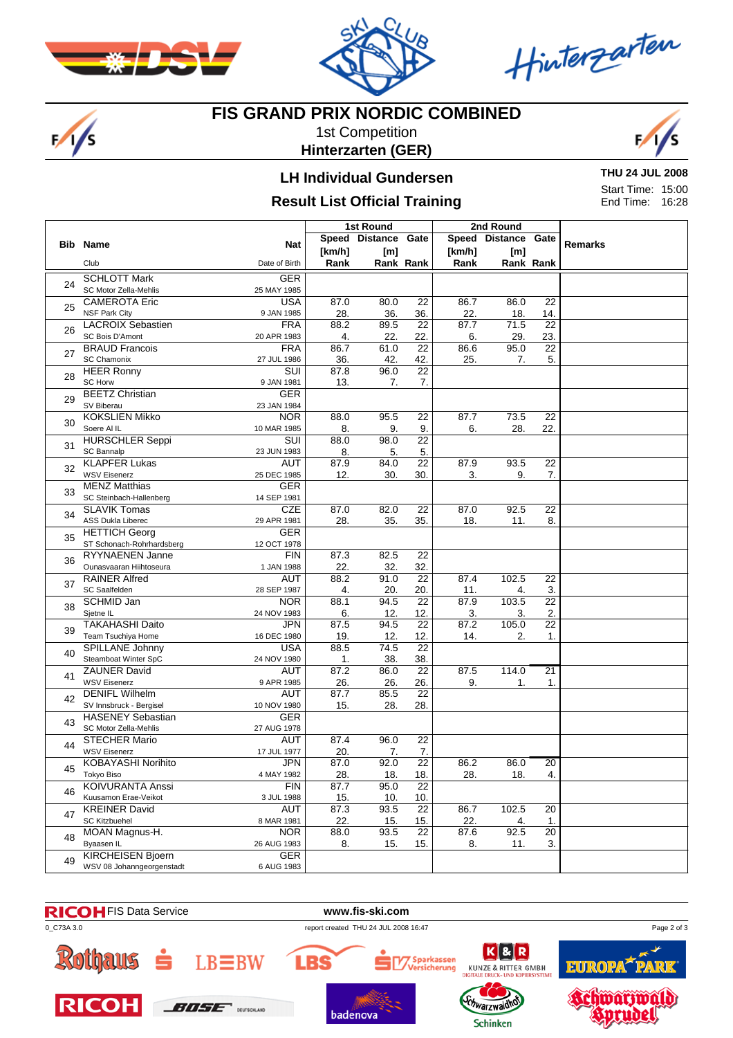

 $\frac{1}{s}$ 



Hinterzarten

#### **FIS GRAND PRIX NORDIC COMBINED**

1st Competition **Hinterzarten (GER)**



## **LH Individual Gundersen**

## **Result List Official Training**

**THU 24 JUL 2008** Start Time: 15:00 End Time: 16:28

|                                        |                                                   |                                                                                                                                                                                                                                                                                                                                                                                                                                                                                                                                                                                                                                                                                                                                                                                                                                                                                                                                                                                                                                                                                                                                                                                                                                                                                                                                                                                                                                                                                                                                                                                                                                                                                                                                                                                                                                                                                                                                                                                                                                                                                                                                                                                                                                                                                                    |        |      | Gate |        |      |                 |  |
|----------------------------------------|---------------------------------------------------|----------------------------------------------------------------------------------------------------------------------------------------------------------------------------------------------------------------------------------------------------------------------------------------------------------------------------------------------------------------------------------------------------------------------------------------------------------------------------------------------------------------------------------------------------------------------------------------------------------------------------------------------------------------------------------------------------------------------------------------------------------------------------------------------------------------------------------------------------------------------------------------------------------------------------------------------------------------------------------------------------------------------------------------------------------------------------------------------------------------------------------------------------------------------------------------------------------------------------------------------------------------------------------------------------------------------------------------------------------------------------------------------------------------------------------------------------------------------------------------------------------------------------------------------------------------------------------------------------------------------------------------------------------------------------------------------------------------------------------------------------------------------------------------------------------------------------------------------------------------------------------------------------------------------------------------------------------------------------------------------------------------------------------------------------------------------------------------------------------------------------------------------------------------------------------------------------------------------------------------------------------------------------------------------------|--------|------|------|--------|------|-----------------|--|
|                                        | <b>Bib Name</b>                                   |                                                                                                                                                                                                                                                                                                                                                                                                                                                                                                                                                                                                                                                                                                                                                                                                                                                                                                                                                                                                                                                                                                                                                                                                                                                                                                                                                                                                                                                                                                                                                                                                                                                                                                                                                                                                                                                                                                                                                                                                                                                                                                                                                                                                                                                                                                    | [km/h] |      |      | [km/h] | [m]  |                 |  |
|                                        | Club                                              | Date of Birth                                                                                                                                                                                                                                                                                                                                                                                                                                                                                                                                                                                                                                                                                                                                                                                                                                                                                                                                                                                                                                                                                                                                                                                                                                                                                                                                                                                                                                                                                                                                                                                                                                                                                                                                                                                                                                                                                                                                                                                                                                                                                                                                                                                                                                                                                      | Rank   |      |      | Rank   |      |                 |  |
|                                        | <b>SCHLOTT Mark</b>                               |                                                                                                                                                                                                                                                                                                                                                                                                                                                                                                                                                                                                                                                                                                                                                                                                                                                                                                                                                                                                                                                                                                                                                                                                                                                                                                                                                                                                                                                                                                                                                                                                                                                                                                                                                                                                                                                                                                                                                                                                                                                                                                                                                                                                                                                                                                    |        |      |      |        |      |                 |  |
| 24                                     | SC Motor Zella-Mehlis                             |                                                                                                                                                                                                                                                                                                                                                                                                                                                                                                                                                                                                                                                                                                                                                                                                                                                                                                                                                                                                                                                                                                                                                                                                                                                                                                                                                                                                                                                                                                                                                                                                                                                                                                                                                                                                                                                                                                                                                                                                                                                                                                                                                                                                                                                                                                    |        |      |      |        |      |                 |  |
|                                        | <b>CAMEROTA Eric</b>                              | <b>USA</b>                                                                                                                                                                                                                                                                                                                                                                                                                                                                                                                                                                                                                                                                                                                                                                                                                                                                                                                                                                                                                                                                                                                                                                                                                                                                                                                                                                                                                                                                                                                                                                                                                                                                                                                                                                                                                                                                                                                                                                                                                                                                                                                                                                                                                                                                                         |        |      | 22   |        |      | 22              |  |
| 25                                     | <b>NSF Park City</b>                              | 9 JAN 1985                                                                                                                                                                                                                                                                                                                                                                                                                                                                                                                                                                                                                                                                                                                                                                                                                                                                                                                                                                                                                                                                                                                                                                                                                                                                                                                                                                                                                                                                                                                                                                                                                                                                                                                                                                                                                                                                                                                                                                                                                                                                                                                                                                                                                                                                                         | 28.    | 36.  | 36.  | 22.    | 18.  | 14.             |  |
| 26                                     | <b>LACROIX Sebastien</b>                          | <b>FRA</b>                                                                                                                                                                                                                                                                                                                                                                                                                                                                                                                                                                                                                                                                                                                                                                                                                                                                                                                                                                                                                                                                                                                                                                                                                                                                                                                                                                                                                                                                                                                                                                                                                                                                                                                                                                                                                                                                                                                                                                                                                                                                                                                                                                                                                                                                                         | 88.2   | 89.5 | 22   | 87.7   | 71.5 | $\overline{22}$ |  |
|                                        | SC Bois D'Amont                                   | 20 APR 1983                                                                                                                                                                                                                                                                                                                                                                                                                                                                                                                                                                                                                                                                                                                                                                                                                                                                                                                                                                                                                                                                                                                                                                                                                                                                                                                                                                                                                                                                                                                                                                                                                                                                                                                                                                                                                                                                                                                                                                                                                                                                                                                                                                                                                                                                                        | 4.     | 22.  | 22.  | 6.     | 29.  | 23.             |  |
| 27                                     | <b>BRAUD Francois</b>                             |                                                                                                                                                                                                                                                                                                                                                                                                                                                                                                                                                                                                                                                                                                                                                                                                                                                                                                                                                                                                                                                                                                                                                                                                                                                                                                                                                                                                                                                                                                                                                                                                                                                                                                                                                                                                                                                                                                                                                                                                                                                                                                                                                                                                                                                                                                    |        | 61.0 |      |        |      |                 |  |
|                                        | SC Chamonix                                       |                                                                                                                                                                                                                                                                                                                                                                                                                                                                                                                                                                                                                                                                                                                                                                                                                                                                                                                                                                                                                                                                                                                                                                                                                                                                                                                                                                                                                                                                                                                                                                                                                                                                                                                                                                                                                                                                                                                                                                                                                                                                                                                                                                                                                                                                                                    |        |      |      |        |      |                 |  |
| 28                                     | <b>HEER Ronny</b>                                 |                                                                                                                                                                                                                                                                                                                                                                                                                                                                                                                                                                                                                                                                                                                                                                                                                                                                                                                                                                                                                                                                                                                                                                                                                                                                                                                                                                                                                                                                                                                                                                                                                                                                                                                                                                                                                                                                                                                                                                                                                                                                                                                                                                                                                                                                                                    |        |      |      |        |      |                 |  |
|                                        | SC Horw                                           |                                                                                                                                                                                                                                                                                                                                                                                                                                                                                                                                                                                                                                                                                                                                                                                                                                                                                                                                                                                                                                                                                                                                                                                                                                                                                                                                                                                                                                                                                                                                                                                                                                                                                                                                                                                                                                                                                                                                                                                                                                                                                                                                                                                                                                                                                                    |        |      |      |        |      |                 |  |
| 29                                     | <b>BEETZ Christian</b><br>SV Biberau              |                                                                                                                                                                                                                                                                                                                                                                                                                                                                                                                                                                                                                                                                                                                                                                                                                                                                                                                                                                                                                                                                                                                                                                                                                                                                                                                                                                                                                                                                                                                                                                                                                                                                                                                                                                                                                                                                                                                                                                                                                                                                                                                                                                                                                                                                                                    |        |      |      |        |      |                 |  |
|                                        | <b>KOKSLIEN Mikko</b>                             |                                                                                                                                                                                                                                                                                                                                                                                                                                                                                                                                                                                                                                                                                                                                                                                                                                                                                                                                                                                                                                                                                                                                                                                                                                                                                                                                                                                                                                                                                                                                                                                                                                                                                                                                                                                                                                                                                                                                                                                                                                                                                                                                                                                                                                                                                                    |        |      |      |        |      |                 |  |
| 30                                     | Soere Al IL                                       |                                                                                                                                                                                                                                                                                                                                                                                                                                                                                                                                                                                                                                                                                                                                                                                                                                                                                                                                                                                                                                                                                                                                                                                                                                                                                                                                                                                                                                                                                                                                                                                                                                                                                                                                                                                                                                                                                                                                                                                                                                                                                                                                                                                                                                                                                                    |        |      |      |        |      |                 |  |
|                                        | <b>HURSCHLER Seppi</b>                            |                                                                                                                                                                                                                                                                                                                                                                                                                                                                                                                                                                                                                                                                                                                                                                                                                                                                                                                                                                                                                                                                                                                                                                                                                                                                                                                                                                                                                                                                                                                                                                                                                                                                                                                                                                                                                                                                                                                                                                                                                                                                                                                                                                                                                                                                                                    |        |      |      |        |      |                 |  |
| 31<br>32<br>33<br>34<br>35<br>36<br>37 | <b>SC Bannalp</b>                                 |                                                                                                                                                                                                                                                                                                                                                                                                                                                                                                                                                                                                                                                                                                                                                                                                                                                                                                                                                                                                                                                                                                                                                                                                                                                                                                                                                                                                                                                                                                                                                                                                                                                                                                                                                                                                                                                                                                                                                                                                                                                                                                                                                                                                                                                                                                    |        |      |      |        |      |                 |  |
|                                        | <b>KLAPFER Lukas</b>                              |                                                                                                                                                                                                                                                                                                                                                                                                                                                                                                                                                                                                                                                                                                                                                                                                                                                                                                                                                                                                                                                                                                                                                                                                                                                                                                                                                                                                                                                                                                                                                                                                                                                                                                                                                                                                                                                                                                                                                                                                                                                                                                                                                                                                                                                                                                    |        |      |      |        |      |                 |  |
|                                        | <b>WSV Eisenerz</b>                               | 2nd Round<br>1st Round<br>Speed Distance<br>Speed Distance Gate<br><b>Remarks</b><br><b>Nat</b><br>[m]<br>Rank Rank<br>Rank Rank<br><b>GER</b><br>25 MAY 1985<br>87.0<br>80.0<br>86.7<br>86.0<br>$\overline{22}$<br><b>FRA</b><br>86.7<br>22<br>86.6<br>95.0<br>36.<br>42.<br>42.<br>25.<br>5.<br>27 JUL 1986<br>7.<br><b>SUI</b><br>22<br>87.8<br>96.0<br>9 JAN 1981<br>13.<br>7.<br>7.<br><b>GER</b><br>23 JAN 1984<br><b>NOR</b><br>88.0<br>95.5<br>$\overline{22}$<br>87.7<br>73.5<br>$\overline{22}$<br>9.<br>6.<br>28.<br>22.<br>10 MAR 1985<br>8.<br>9.<br>SUI<br>$\overline{22}$<br>98.0<br>88.0<br>23 JUN 1983<br>8.<br>5.<br>5.<br>$\overline{22}$<br><b>AUT</b><br>87.9<br>84.0<br>87.9<br>93.5<br>$\overline{22}$<br>25 DEC 1985<br>3.<br>7.<br>30.<br>30.<br>9.<br>12.<br><b>GER</b><br>14 SEP 1981<br><b>CZE</b><br>87.0<br>82.0<br>22<br>87.0<br>92.5<br>22<br>29 APR 1981<br>28.<br>35.<br>35.<br>18.<br>11.<br>8.<br><b>GER</b><br>12 OCT 1978<br><b>FIN</b><br>87.3<br>82.5<br>22<br>1 JAN 1988<br>22.<br>32.<br>32.<br>91.0<br>$\overline{22}$<br>AUT<br>88.2<br>87.4<br>102.5<br>22<br>28 SEP 1987<br>4.<br>20.<br>20.<br>11.<br>3.<br>4.<br><b>NOR</b><br>$\overline{22}$<br>22<br>88.1<br>94.5<br>87.9<br>103.5<br>12.<br>3.<br>2.<br>24 NOV 1983<br>6.<br>12.<br>3.<br>87.5<br>22<br>87.2<br>105.0<br>$\overline{22}$<br>JPN<br>94.5<br>19.<br>12.<br>14.<br>2.<br>1.<br>16 DEC 1980<br>12.<br>$\overline{22}$<br><b>USA</b><br>88.5<br>74.5<br>38.<br>38.<br>24 NOV 1980<br>1.<br><b>AUT</b><br>22<br>87.2<br>87.5<br>114.0<br>21<br>86.0<br>9.<br>9 APR 1985<br>26.<br>26.<br>26.<br>$\mathbf{1}$ .<br>1.<br><b>AUT</b><br>87.7<br>85.5<br>$\overline{22}$<br>10 NOV 1980<br>15.<br>28.<br>28.<br><b>GER</b><br>27 AUG 1978<br>87.4<br>96.0<br>22<br><b>AUT</b><br>20.<br>7.<br>17 JUL 1977<br>7.<br>JPN<br>92.0<br>$\overline{22}$<br>87.0<br>86.2<br>86.0<br>$\overline{20}$<br>18.<br>4.<br>4 MAY 1982<br>28.<br>18.<br>28.<br>18.<br><b>FIN</b><br>22<br>87.7<br>95.0<br>3 JUL 1988<br>15.<br>10.<br>10.<br><b>AUT</b><br>87.3<br>93.5<br>22<br>86.7<br>102.5<br>20<br>8 MAR 1981<br>22.<br>22.<br>15.<br>15.<br>1.<br>4.<br>20<br><b>NOR</b><br>22<br>92.5<br>88.0<br>93.5<br>87.6<br>26 AUG 1983<br>15.<br>3.<br>8.<br>15.<br>8.<br>11.<br><b>GER</b><br>6 AUG 1983 |        |      |      |        |      |                 |  |
|                                        | <b>MENZ Matthias</b>                              |                                                                                                                                                                                                                                                                                                                                                                                                                                                                                                                                                                                                                                                                                                                                                                                                                                                                                                                                                                                                                                                                                                                                                                                                                                                                                                                                                                                                                                                                                                                                                                                                                                                                                                                                                                                                                                                                                                                                                                                                                                                                                                                                                                                                                                                                                                    |        |      |      |        |      |                 |  |
|                                        | SC Steinbach-Hallenberg                           |                                                                                                                                                                                                                                                                                                                                                                                                                                                                                                                                                                                                                                                                                                                                                                                                                                                                                                                                                                                                                                                                                                                                                                                                                                                                                                                                                                                                                                                                                                                                                                                                                                                                                                                                                                                                                                                                                                                                                                                                                                                                                                                                                                                                                                                                                                    |        |      |      |        |      |                 |  |
|                                        | <b>SLAVIK Tomas</b>                               |                                                                                                                                                                                                                                                                                                                                                                                                                                                                                                                                                                                                                                                                                                                                                                                                                                                                                                                                                                                                                                                                                                                                                                                                                                                                                                                                                                                                                                                                                                                                                                                                                                                                                                                                                                                                                                                                                                                                                                                                                                                                                                                                                                                                                                                                                                    |        |      |      |        |      |                 |  |
|                                        | ASS Dukla Liberec                                 |                                                                                                                                                                                                                                                                                                                                                                                                                                                                                                                                                                                                                                                                                                                                                                                                                                                                                                                                                                                                                                                                                                                                                                                                                                                                                                                                                                                                                                                                                                                                                                                                                                                                                                                                                                                                                                                                                                                                                                                                                                                                                                                                                                                                                                                                                                    |        |      |      |        |      |                 |  |
|                                        | <b>HETTICH Georg</b>                              |                                                                                                                                                                                                                                                                                                                                                                                                                                                                                                                                                                                                                                                                                                                                                                                                                                                                                                                                                                                                                                                                                                                                                                                                                                                                                                                                                                                                                                                                                                                                                                                                                                                                                                                                                                                                                                                                                                                                                                                                                                                                                                                                                                                                                                                                                                    |        |      |      |        |      |                 |  |
|                                        | ST Schonach-Rohrhardsberg                         |                                                                                                                                                                                                                                                                                                                                                                                                                                                                                                                                                                                                                                                                                                                                                                                                                                                                                                                                                                                                                                                                                                                                                                                                                                                                                                                                                                                                                                                                                                                                                                                                                                                                                                                                                                                                                                                                                                                                                                                                                                                                                                                                                                                                                                                                                                    |        |      |      |        |      |                 |  |
|                                        | RYYNAENEN Janne                                   |                                                                                                                                                                                                                                                                                                                                                                                                                                                                                                                                                                                                                                                                                                                                                                                                                                                                                                                                                                                                                                                                                                                                                                                                                                                                                                                                                                                                                                                                                                                                                                                                                                                                                                                                                                                                                                                                                                                                                                                                                                                                                                                                                                                                                                                                                                    |        |      |      |        |      |                 |  |
|                                        | Ounasvaaran Hiihtoseura<br><b>RAINER Alfred</b>   |                                                                                                                                                                                                                                                                                                                                                                                                                                                                                                                                                                                                                                                                                                                                                                                                                                                                                                                                                                                                                                                                                                                                                                                                                                                                                                                                                                                                                                                                                                                                                                                                                                                                                                                                                                                                                                                                                                                                                                                                                                                                                                                                                                                                                                                                                                    |        |      |      |        |      |                 |  |
|                                        | SC Saalfelden                                     |                                                                                                                                                                                                                                                                                                                                                                                                                                                                                                                                                                                                                                                                                                                                                                                                                                                                                                                                                                                                                                                                                                                                                                                                                                                                                                                                                                                                                                                                                                                                                                                                                                                                                                                                                                                                                                                                                                                                                                                                                                                                                                                                                                                                                                                                                                    |        |      |      |        |      |                 |  |
|                                        | <b>SCHMID Jan</b>                                 |                                                                                                                                                                                                                                                                                                                                                                                                                                                                                                                                                                                                                                                                                                                                                                                                                                                                                                                                                                                                                                                                                                                                                                                                                                                                                                                                                                                                                                                                                                                                                                                                                                                                                                                                                                                                                                                                                                                                                                                                                                                                                                                                                                                                                                                                                                    |        |      |      |        |      |                 |  |
| 38                                     | Sjetne IL                                         |                                                                                                                                                                                                                                                                                                                                                                                                                                                                                                                                                                                                                                                                                                                                                                                                                                                                                                                                                                                                                                                                                                                                                                                                                                                                                                                                                                                                                                                                                                                                                                                                                                                                                                                                                                                                                                                                                                                                                                                                                                                                                                                                                                                                                                                                                                    |        |      |      |        |      |                 |  |
|                                        | <b>TAKAHASHI Daito</b>                            |                                                                                                                                                                                                                                                                                                                                                                                                                                                                                                                                                                                                                                                                                                                                                                                                                                                                                                                                                                                                                                                                                                                                                                                                                                                                                                                                                                                                                                                                                                                                                                                                                                                                                                                                                                                                                                                                                                                                                                                                                                                                                                                                                                                                                                                                                                    |        |      |      |        |      |                 |  |
| 39                                     | Team Tsuchiya Home                                |                                                                                                                                                                                                                                                                                                                                                                                                                                                                                                                                                                                                                                                                                                                                                                                                                                                                                                                                                                                                                                                                                                                                                                                                                                                                                                                                                                                                                                                                                                                                                                                                                                                                                                                                                                                                                                                                                                                                                                                                                                                                                                                                                                                                                                                                                                    |        |      |      |        |      |                 |  |
|                                        | SPILLANE Johnny                                   |                                                                                                                                                                                                                                                                                                                                                                                                                                                                                                                                                                                                                                                                                                                                                                                                                                                                                                                                                                                                                                                                                                                                                                                                                                                                                                                                                                                                                                                                                                                                                                                                                                                                                                                                                                                                                                                                                                                                                                                                                                                                                                                                                                                                                                                                                                    |        |      |      |        |      |                 |  |
| 40                                     | Steamboat Winter SpC                              |                                                                                                                                                                                                                                                                                                                                                                                                                                                                                                                                                                                                                                                                                                                                                                                                                                                                                                                                                                                                                                                                                                                                                                                                                                                                                                                                                                                                                                                                                                                                                                                                                                                                                                                                                                                                                                                                                                                                                                                                                                                                                                                                                                                                                                                                                                    |        |      |      |        |      |                 |  |
| 41                                     | <b>ZAUNER David</b>                               |                                                                                                                                                                                                                                                                                                                                                                                                                                                                                                                                                                                                                                                                                                                                                                                                                                                                                                                                                                                                                                                                                                                                                                                                                                                                                                                                                                                                                                                                                                                                                                                                                                                                                                                                                                                                                                                                                                                                                                                                                                                                                                                                                                                                                                                                                                    |        |      |      |        |      |                 |  |
|                                        | <b>WSV Eisenerz</b>                               |                                                                                                                                                                                                                                                                                                                                                                                                                                                                                                                                                                                                                                                                                                                                                                                                                                                                                                                                                                                                                                                                                                                                                                                                                                                                                                                                                                                                                                                                                                                                                                                                                                                                                                                                                                                                                                                                                                                                                                                                                                                                                                                                                                                                                                                                                                    |        |      |      |        |      |                 |  |
| 42                                     | <b>DENIFL Wilhelm</b>                             |                                                                                                                                                                                                                                                                                                                                                                                                                                                                                                                                                                                                                                                                                                                                                                                                                                                                                                                                                                                                                                                                                                                                                                                                                                                                                                                                                                                                                                                                                                                                                                                                                                                                                                                                                                                                                                                                                                                                                                                                                                                                                                                                                                                                                                                                                                    |        |      |      |        |      |                 |  |
|                                        | SV Innsbruck - Bergisel                           |                                                                                                                                                                                                                                                                                                                                                                                                                                                                                                                                                                                                                                                                                                                                                                                                                                                                                                                                                                                                                                                                                                                                                                                                                                                                                                                                                                                                                                                                                                                                                                                                                                                                                                                                                                                                                                                                                                                                                                                                                                                                                                                                                                                                                                                                                                    |        |      |      |        |      |                 |  |
| 43                                     | <b>HASENEY Sebastian</b><br>SC Motor Zella-Mehlis |                                                                                                                                                                                                                                                                                                                                                                                                                                                                                                                                                                                                                                                                                                                                                                                                                                                                                                                                                                                                                                                                                                                                                                                                                                                                                                                                                                                                                                                                                                                                                                                                                                                                                                                                                                                                                                                                                                                                                                                                                                                                                                                                                                                                                                                                                                    |        |      |      |        |      |                 |  |
|                                        | <b>STECHER Mario</b>                              |                                                                                                                                                                                                                                                                                                                                                                                                                                                                                                                                                                                                                                                                                                                                                                                                                                                                                                                                                                                                                                                                                                                                                                                                                                                                                                                                                                                                                                                                                                                                                                                                                                                                                                                                                                                                                                                                                                                                                                                                                                                                                                                                                                                                                                                                                                    |        |      |      |        |      |                 |  |
| 44                                     | <b>WSV Eisenerz</b>                               |                                                                                                                                                                                                                                                                                                                                                                                                                                                                                                                                                                                                                                                                                                                                                                                                                                                                                                                                                                                                                                                                                                                                                                                                                                                                                                                                                                                                                                                                                                                                                                                                                                                                                                                                                                                                                                                                                                                                                                                                                                                                                                                                                                                                                                                                                                    |        |      |      |        |      |                 |  |
|                                        | <b>KOBAYASHI Norihito</b>                         |                                                                                                                                                                                                                                                                                                                                                                                                                                                                                                                                                                                                                                                                                                                                                                                                                                                                                                                                                                                                                                                                                                                                                                                                                                                                                                                                                                                                                                                                                                                                                                                                                                                                                                                                                                                                                                                                                                                                                                                                                                                                                                                                                                                                                                                                                                    |        |      |      |        |      |                 |  |
| 45                                     | Tokyo Biso                                        |                                                                                                                                                                                                                                                                                                                                                                                                                                                                                                                                                                                                                                                                                                                                                                                                                                                                                                                                                                                                                                                                                                                                                                                                                                                                                                                                                                                                                                                                                                                                                                                                                                                                                                                                                                                                                                                                                                                                                                                                                                                                                                                                                                                                                                                                                                    |        |      |      |        |      |                 |  |
|                                        | KOIVURANTA Anssi                                  |                                                                                                                                                                                                                                                                                                                                                                                                                                                                                                                                                                                                                                                                                                                                                                                                                                                                                                                                                                                                                                                                                                                                                                                                                                                                                                                                                                                                                                                                                                                                                                                                                                                                                                                                                                                                                                                                                                                                                                                                                                                                                                                                                                                                                                                                                                    |        |      |      |        |      |                 |  |
| 46                                     | Kuusamon Erae-Veikot                              |                                                                                                                                                                                                                                                                                                                                                                                                                                                                                                                                                                                                                                                                                                                                                                                                                                                                                                                                                                                                                                                                                                                                                                                                                                                                                                                                                                                                                                                                                                                                                                                                                                                                                                                                                                                                                                                                                                                                                                                                                                                                                                                                                                                                                                                                                                    |        |      |      |        |      |                 |  |
| 47                                     | <b>KREINER David</b>                              |                                                                                                                                                                                                                                                                                                                                                                                                                                                                                                                                                                                                                                                                                                                                                                                                                                                                                                                                                                                                                                                                                                                                                                                                                                                                                                                                                                                                                                                                                                                                                                                                                                                                                                                                                                                                                                                                                                                                                                                                                                                                                                                                                                                                                                                                                                    |        |      |      |        |      |                 |  |
|                                        | <b>SC Kitzbuehel</b>                              |                                                                                                                                                                                                                                                                                                                                                                                                                                                                                                                                                                                                                                                                                                                                                                                                                                                                                                                                                                                                                                                                                                                                                                                                                                                                                                                                                                                                                                                                                                                                                                                                                                                                                                                                                                                                                                                                                                                                                                                                                                                                                                                                                                                                                                                                                                    |        |      |      |        |      |                 |  |
| 48                                     | MOAN Magnus-H.                                    |                                                                                                                                                                                                                                                                                                                                                                                                                                                                                                                                                                                                                                                                                                                                                                                                                                                                                                                                                                                                                                                                                                                                                                                                                                                                                                                                                                                                                                                                                                                                                                                                                                                                                                                                                                                                                                                                                                                                                                                                                                                                                                                                                                                                                                                                                                    |        |      |      |        |      |                 |  |
|                                        | Byaasen IL                                        |                                                                                                                                                                                                                                                                                                                                                                                                                                                                                                                                                                                                                                                                                                                                                                                                                                                                                                                                                                                                                                                                                                                                                                                                                                                                                                                                                                                                                                                                                                                                                                                                                                                                                                                                                                                                                                                                                                                                                                                                                                                                                                                                                                                                                                                                                                    |        |      |      |        |      |                 |  |
| 49                                     | <b>KIRCHEISEN Bjoern</b>                          |                                                                                                                                                                                                                                                                                                                                                                                                                                                                                                                                                                                                                                                                                                                                                                                                                                                                                                                                                                                                                                                                                                                                                                                                                                                                                                                                                                                                                                                                                                                                                                                                                                                                                                                                                                                                                                                                                                                                                                                                                                                                                                                                                                                                                                                                                                    |        |      |      |        |      |                 |  |
|                                        | WSV 08 Johanngeorgenstadt                         |                                                                                                                                                                                                                                                                                                                                                                                                                                                                                                                                                                                                                                                                                                                                                                                                                                                                                                                                                                                                                                                                                                                                                                                                                                                                                                                                                                                                                                                                                                                                                                                                                                                                                                                                                                                                                                                                                                                                                                                                                                                                                                                                                                                                                                                                                                    |        |      |      |        |      |                 |  |